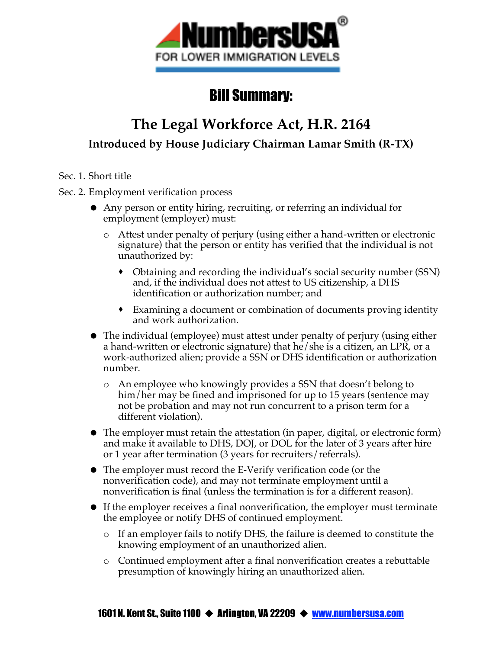

## Bill Summary:

# **The Legal Workforce Act, H.R. 2164 Introduced by House Judiciary Chairman Lamar Smith (R-TX)**

Sec. 1. Short title

Sec. 2. Employment verification process

- Any person or entity hiring, recruiting, or referring an individual for employment (employer) must:
	- o Attest under penalty of perjury (using either a hand-written or electronic signature) that the person or entity has verified that the individual is not unauthorized by:
		- Obtaining and recording the individual's social security number (SSN) and, if the individual does not attest to US citizenship, a DHS identification or authorization number; and
		- Examining a document or combination of documents proving identity and work authorization.
- The individual (employee) must attest under penalty of perjury (using either a hand-written or electronic signature) that he/she is a citizen, an LPR, or a work-authorized alien; provide a SSN or DHS identification or authorization number.
	- o An employee who knowingly provides a SSN that doesn't belong to him/her may be fined and imprisoned for up to 15 years (sentence may not be probation and may not run concurrent to a prison term for a different violation).
- The employer must retain the attestation (in paper, digital, or electronic form) and make it available to DHS, DOJ, or DOL for the later of 3 years after hire or 1 year after termination (3 years for recruiters/referrals).
- The employer must record the E-Verify verification code (or the nonverification code), and may not terminate employment until a nonverification is final (unless the termination is for a different reason).
- If the employer receives a final nonverification, the employer must terminate the employee or notify DHS of continued employment.
	- o If an employer fails to notify DHS, the failure is deemed to constitute the knowing employment of an unauthorized alien.
	- o Continued employment after a final nonverification creates a rebuttable presumption of knowingly hiring an unauthorized alien.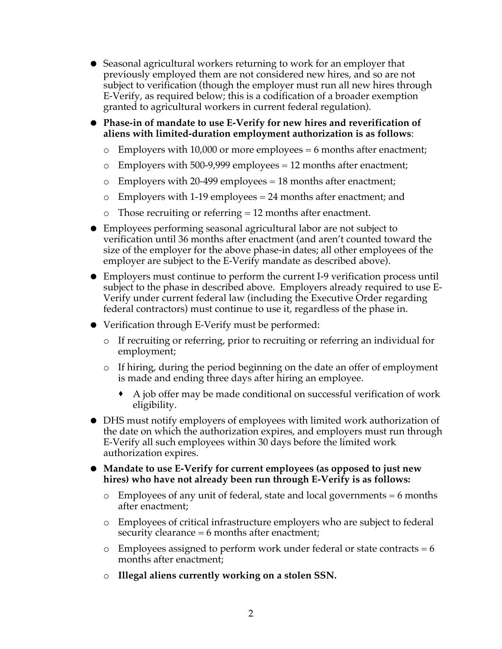- Seasonal agricultural workers returning to work for an employer that previously employed them are not considered new hires, and so are not subject to verification (though the employer must run all new hires through E-Verify, as required below; this is a codification of a broader exemption granted to agricultural workers in current federal regulation).
- **Phase-in of mandate to use E-Verify for new hires and reverification of aliens with limited-duration employment authorization is as follows**:
	- $\circ$  Employers with 10,000 or more employees = 6 months after enactment;
	- $\circ$  Employers with 500-9,999 employees = 12 months after enactment;
	- $\circ$  Employers with 20-499 employees = 18 months after enactment;
	- o Employers with 1-19 employees = 24 months after enactment; and
	- $\circ$  Those recruiting or referring = 12 months after enactment.
- Employees performing seasonal agricultural labor are not subject to verification until 36 months after enactment (and aren't counted toward the size of the employer for the above phase-in dates; all other employees of the employer are subject to the E-Verify mandate as described above).
- Employers must continue to perform the current I-9 verification process until subject to the phase in described above. Employers already required to use E-Verify under current federal law (including the Executive Order regarding federal contractors) must continue to use it, regardless of the phase in.
- Verification through E-Verify must be performed:
	- o If recruiting or referring, prior to recruiting or referring an individual for employment;
	- o If hiring, during the period beginning on the date an offer of employment is made and ending three days after hiring an employee.
		- A job offer may be made conditional on successful verification of work eligibility.
- DHS must notify employers of employees with limited work authorization of the date on which the authorization expires, and employers must run through E-Verify all such employees within 30 days before the limited work authorization expires.
- **Mandate to use E-Verify for current employees (as opposed to just new hires) who have not already been run through E-Verify is as follows:**
	- $\circ$  Employees of any unit of federal, state and local governments = 6 months after enactment;
	- o Employees of critical infrastructure employers who are subject to federal security clearance = 6 months after enactment;
	- $\circ$  Employees assigned to perform work under federal or state contracts = 6 months after enactment;
	- o **Illegal aliens currently working on a stolen SSN.**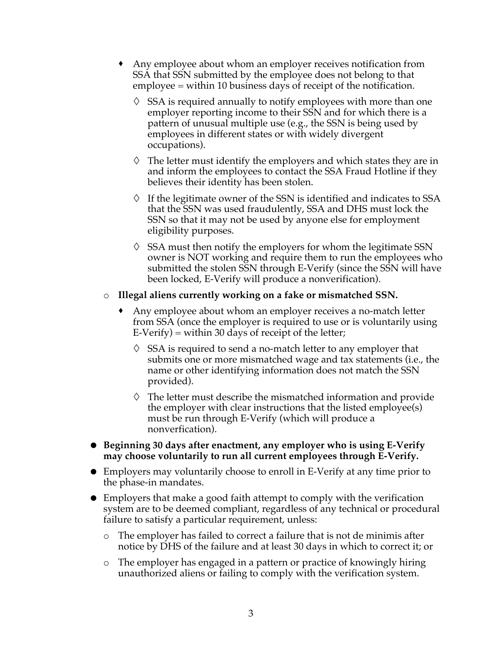- Any employee about whom an employer receives notification from SSA that SSN submitted by the employee does not belong to that employee = within 10 business days of receipt of the notification.
	- $\Diamond$  SSA is required annually to notify employees with more than one employer reporting income to their SSN and for which there is a pattern of unusual multiple use (e.g., the SSN is being used by employees in different states or with widely divergent occupations).
	- $\Diamond$  The letter must identify the employers and which states they are in and inform the employees to contact the SSA Fraud Hotline if they believes their identity has been stolen.
	- $\Diamond$  If the legitimate owner of the SSN is identified and indicates to SSA that the SSN was used fraudulently, SSA and DHS must lock the SSN so that it may not be used by anyone else for employment eligibility purposes.
	- $\Diamond$  SSA must then notify the employers for whom the legitimate SSN owner is NOT working and require them to run the employees who submitted the stolen SSN through E-Verify (since the SSN will have been locked, E-Verify will produce a nonverification).

#### o **Illegal aliens currently working on a fake or mismatched SSN.**

- Any employee about whom an employer receives a no-match letter from SSA (once the employer is required to use or is voluntarily using  $E-Verify$ ) = within 30 days of receipt of the letter;
	- $\diamond$  SSA is required to send a no-match letter to any employer that submits one or more mismatched wage and tax statements (i.e., the name or other identifying information does not match the SSN provided).
	- $\Diamond$  The letter must describe the mismatched information and provide the employer with clear instructions that the listed employee(s) must be run through E-Verify (which will produce a nonverfication).
- **Beginning 30 days after enactment, any employer who is using E-Verify may choose voluntarily to run all current employees through E-Verify.**
- Employers may voluntarily choose to enroll in E-Verify at any time prior to the phase-in mandates.
- Employers that make a good faith attempt to comply with the verification system are to be deemed compliant, regardless of any technical or procedural failure to satisfy a particular requirement, unless:
	- o The employer has failed to correct a failure that is not de minimis after notice by DHS of the failure and at least 30 days in which to correct it; or
	- o The employer has engaged in a pattern or practice of knowingly hiring unauthorized aliens or failing to comply with the verification system.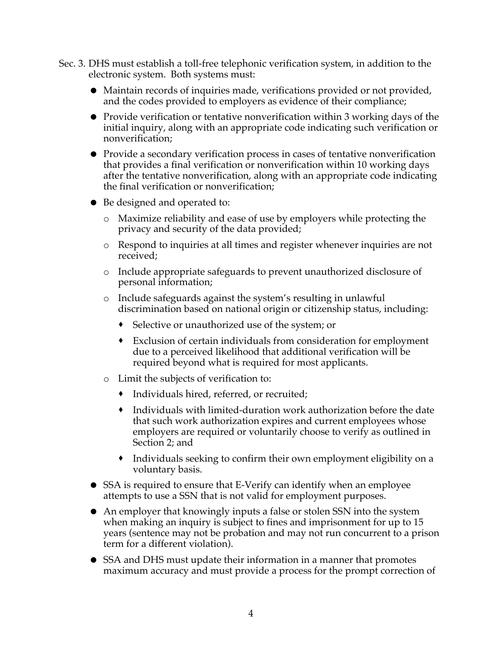- Sec. 3. DHS must establish a toll-free telephonic verification system, in addition to the electronic system. Both systems must:
	- Maintain records of inquiries made, verifications provided or not provided, and the codes provided to employers as evidence of their compliance;
	- Provide verification or tentative nonverification within 3 working days of the initial inquiry, along with an appropriate code indicating such verification or nonverification;
	- Provide a secondary verification process in cases of tentative nonverification that provides a final verification or nonverification within 10 working days after the tentative nonverification, along with an appropriate code indicating the final verification or nonverification;
	- Be designed and operated to:
		- o Maximize reliability and ease of use by employers while protecting the privacy and security of the data provided;
		- o Respond to inquiries at all times and register whenever inquiries are not received;
		- o Include appropriate safeguards to prevent unauthorized disclosure of personal information;
		- o Include safeguards against the system's resulting in unlawful discrimination based on national origin or citizenship status, including:
			- Selective or unauthorized use of the system; or
			- Exclusion of certain individuals from consideration for employment due to a perceived likelihood that additional verification will be required beyond what is required for most applicants.
		- o Limit the subjects of verification to:
			- Individuals hired, referred, or recruited;
			- Individuals with limited-duration work authorization before the date that such work authorization expires and current employees whose employers are required or voluntarily choose to verify as outlined in Section 2; and
			- Individuals seeking to confirm their own employment eligibility on a voluntary basis.
	- SSA is required to ensure that E-Verify can identify when an employee attempts to use a SSN that is not valid for employment purposes.
	- An employer that knowingly inputs a false or stolen SSN into the system when making an inquiry is subject to fines and imprisonment for up to 15 years (sentence may not be probation and may not run concurrent to a prison term for a different violation).
	- SSA and DHS must update their information in a manner that promotes maximum accuracy and must provide a process for the prompt correction of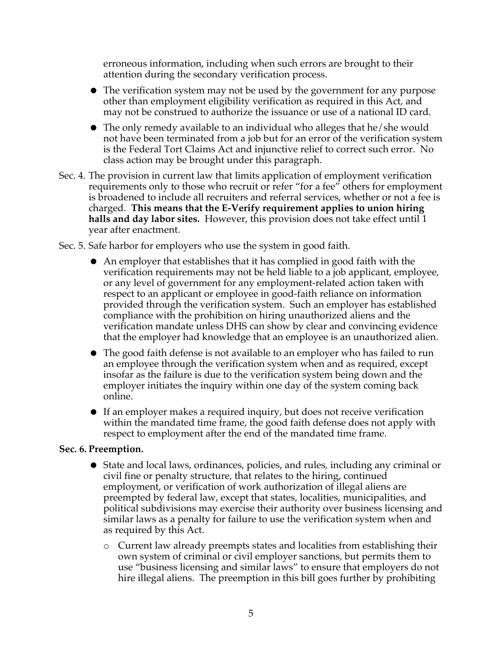erroneous information, including when such errors are brought to their attention during the secondary verification process.

- The verification system may not be used by the government for any purpose other than employment eligibility verification as required in this Act, and may not be construed to authorize the issuance or use of a national ID card.
- The only remedy available to an individual who alleges that he/she would not have been terminated from a job but for an error of the verification system is the Federal Tort Claims Act and injunctive relief to correct such error. No class action may be brought under this paragraph.
- Sec. 4. The provision in current law that limits application of employment verification requirements only to those who recruit or refer "for a fee" others for employment is broadened to include all recruiters and referral services, whether or not a fee is charged. **This means that the E-Verify requirement applies to union hiring halls and day labor sites.** However, this provision does not take effect until 1 year after enactment.
- Sec. 5. Safe harbor for employers who use the system in good faith.
	- An employer that establishes that it has complied in good faith with the verification requirements may not be held liable to a job applicant, employee, or any level of government for any employment-related action taken with respect to an applicant or employee in good-faith reliance on information provided through the verification system. Such an employer has established compliance with the prohibition on hiring unauthorized aliens and the verification mandate unless DHS can show by clear and convincing evidence that the employer had knowledge that an employee is an unauthorized alien.
	- The good faith defense is not available to an employer who has failed to run an employee through the verification system when and as required, except insofar as the failure is due to the verification system being down and the employer initiates the inquiry within one day of the system coming back online.
	- If an employer makes a required inquiry, but does not receive verification within the mandated time frame, the good faith defense does not apply with respect to employment after the end of the mandated time frame.

#### **Sec. 6. Preemption.**

- State and local laws, ordinances, policies, and rules, including any criminal or civil fine or penalty structure, that relates to the hiring, continued employment, or verification of work authorization of illegal aliens are preempted by federal law, except that states, localities, municipalities, and political subdivisions may exercise their authority over business licensing and similar laws as a penalty for failure to use the verification system when and as required by this Act.
	- o Current law already preempts states and localities from establishing their own system of criminal or civil employer sanctions, but permits them to use "business licensing and similar laws" to ensure that employers do not hire illegal aliens. The preemption in this bill goes further by prohibiting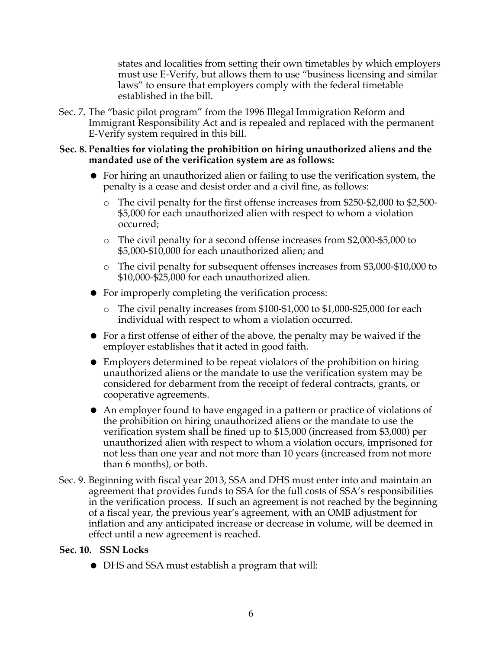states and localities from setting their own timetables by which employers must use E-Verify, but allows them to use "business licensing and similar laws" to ensure that employers comply with the federal timetable established in the bill.

- Sec. 7. The "basic pilot program" from the 1996 Illegal Immigration Reform and Immigrant Responsibility Act and is repealed and replaced with the permanent E-Verify system required in this bill.
- **Sec. 8. Penalties for violating the prohibition on hiring unauthorized aliens and the mandated use of the verification system are as follows:**
	- For hiring an unauthorized alien or failing to use the verification system, the penalty is a cease and desist order and a civil fine, as follows:
		- o The civil penalty for the first offense increases from \$250-\$2,000 to \$2,500- \$5,000 for each unauthorized alien with respect to whom a violation occurred;
		- o The civil penalty for a second offense increases from \$2,000-\$5,000 to \$5,000-\$10,000 for each unauthorized alien; and
		- o The civil penalty for subsequent offenses increases from \$3,000-\$10,000 to \$10,000-\$25,000 for each unauthorized alien.
	- For improperly completing the verification process:
		- o The civil penalty increases from \$100-\$1,000 to \$1,000-\$25,000 for each individual with respect to whom a violation occurred.
	- For a first offense of either of the above, the penalty may be waived if the employer establishes that it acted in good faith.
	- Employers determined to be repeat violators of the prohibition on hiring unauthorized aliens or the mandate to use the verification system may be considered for debarment from the receipt of federal contracts, grants, or cooperative agreements.
	- An employer found to have engaged in a pattern or practice of violations of the prohibition on hiring unauthorized aliens or the mandate to use the verification system shall be fined up to \$15,000 (increased from \$3,000) per unauthorized alien with respect to whom a violation occurs, imprisoned for not less than one year and not more than 10 years (increased from not more than 6 months), or both.
- Sec. 9. Beginning with fiscal year 2013, SSA and DHS must enter into and maintain an agreement that provides funds to SSA for the full costs of SSA's responsibilities in the verification process. If such an agreement is not reached by the beginning of a fiscal year, the previous year's agreement, with an OMB adjustment for inflation and any anticipated increase or decrease in volume, will be deemed in effect until a new agreement is reached.

### **Sec. 10. SSN Locks**

DHS and SSA must establish a program that will: